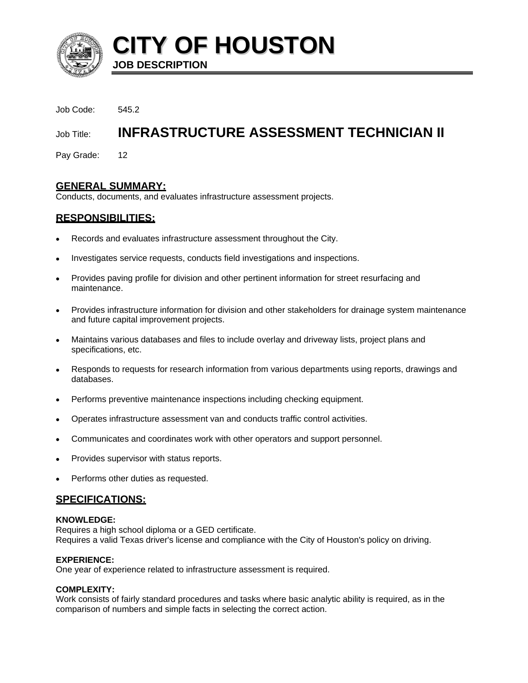

**CITY OF HOUSTON JOB DESCRIPTION** 

Job Code: 545.2

# Job Title: **INFRASTRUCTURE ASSESSMENT TECHNICIAN II**

Pay Grade: 12

# **GENERAL SUMMARY:**

Conducts, documents, and evaluates infrastructure assessment projects.

# **RESPONSIBILITIES:**

- Records and evaluates infrastructure assessment throughout the City.
- Investigates service requests, conducts field investigations and inspections.
- Provides paving profile for division and other pertinent information for street resurfacing and maintenance.
- Provides infrastructure information for division and other stakeholders for drainage system maintenance and future capital improvement projects.
- Maintains various databases and files to include overlay and driveway lists, project plans and specifications, etc.
- Responds to requests for research information from various departments using reports, drawings and databases.
- Performs preventive maintenance inspections including checking equipment.
- Operates infrastructure assessment van and conducts traffic control activities.
- Communicates and coordinates work with other operators and support personnel.
- Provides supervisor with status reports.
- Performs other duties as requested.

## **SPECIFICATIONS:**

#### **KNOWLEDGE:**

Requires a high school diploma or a GED certificate. Requires a valid Texas driver's license and compliance with the City of Houston's policy on driving.

#### **EXPERIENCE:**

One year of experience related to infrastructure assessment is required.

## **COMPLEXITY:**

Work consists of fairly standard procedures and tasks where basic analytic ability is required, as in the comparison of numbers and simple facts in selecting the correct action.